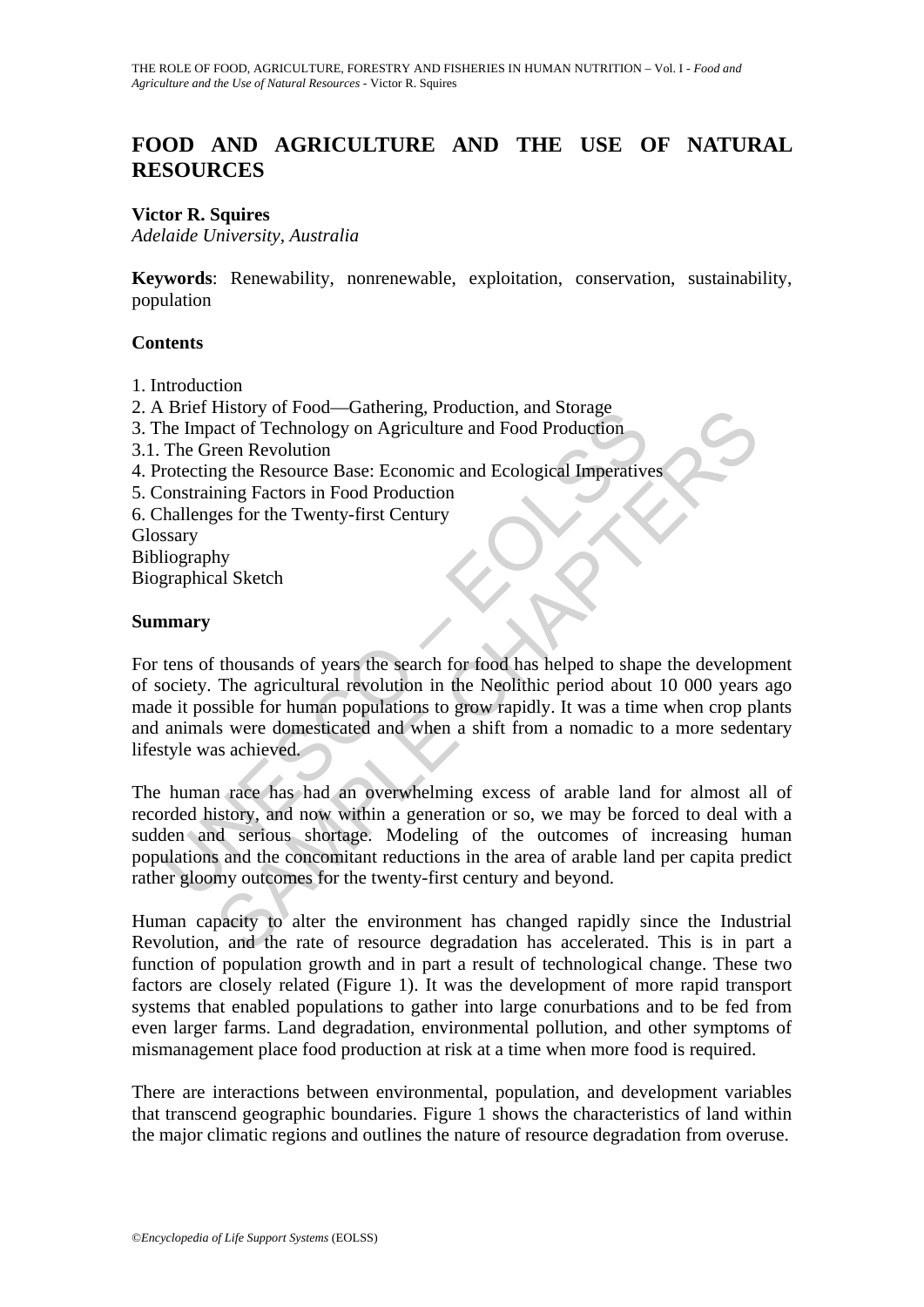# **FOOD AND AGRICULTURE AND THE USE OF NATURAL RESOURCES**

### **Victor R. Squires**

*Adelaide University, Australia* 

**Keywords**: Renewability, nonrenewable, exploitation, conservation, sustainability, population

### **Contents**

- 1. Introduction
- 2. A Brief History of Food—Gathering, Production, and Storage
- 3. The Impact of Technology on Agriculture and Food Production
- 3.1. The Green Revolution
- 4. Protecting the Resource Base: Economic and Ecological Imperatives
- 5. Constraining Factors in Food Production
- 6. Challenges for the Twenty-first Century

Glossary

Bibliography

Biographical Sketch

### **Summary**

Street History of Pood—Gameling, Froduction, and Solation<br>The Impact of Technology on Agriculture and Food Production<br>The Green Revolution<br>The Green Revolution<br>rotecting the Resource Base: Economic and Ecological Imperativ Thistory of rood—oriently, Production, and Storage<br>
act of Technology on Agriculture and Food Production<br>
rean Revolution<br>
are net revolution<br>
and Second Production<br>
spectres in Food Production<br>
exers for the Twenty-first For tens of thousands of years the search for food has helped to shape the development of society. The agricultural revolution in the Neolithic period about 10 000 years ago made it possible for human populations to grow rapidly. It was a time when crop plants and animals were domesticated and when a shift from a nomadic to a more sedentary lifestyle was achieved.

The human race has had an overwhelming excess of arable land for almost all of recorded history, and now within a generation or so, we may be forced to deal with a sudden and serious shortage. Modeling of the outcomes of increasing human populations and the concomitant reductions in the area of arable land per capita predict rather gloomy outcomes for the twenty-first century and beyond.

Human capacity to alter the environment has changed rapidly since the Industrial Revolution, and the rate of resource degradation has accelerated. This is in part a function of population growth and in part a result of technological change. These two factors are closely related (Figure 1). It was the development of more rapid transport systems that enabled populations to gather into large conurbations and to be fed from even larger farms. Land degradation, environmental pollution, and other symptoms of mismanagement place food production at risk at a time when more food is required.

There are interactions between environmental, population, and development variables that transcend geographic boundaries. Figure 1 shows the characteristics of land within the major climatic regions and outlines the nature of resource degradation from overuse.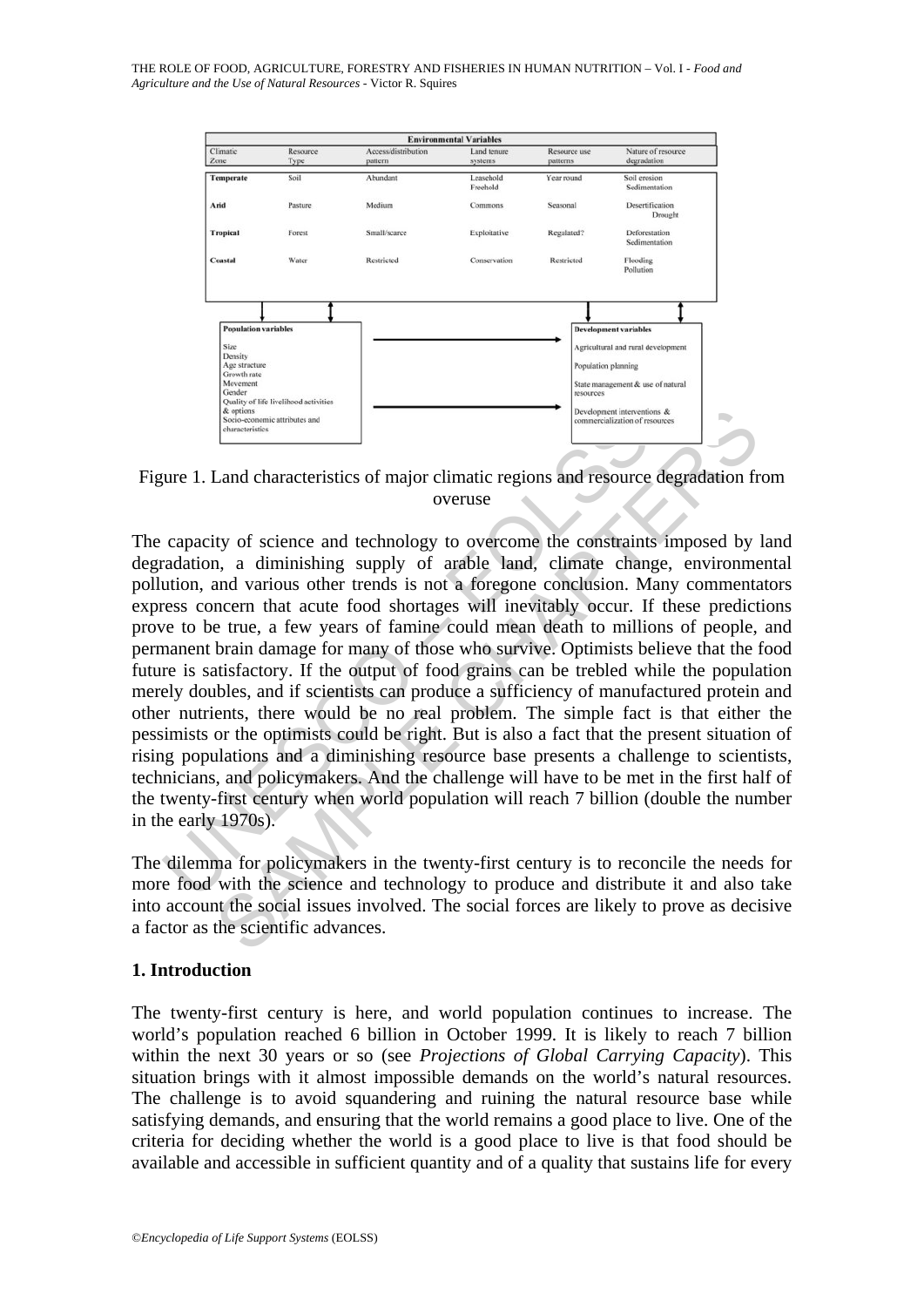

Figure 1. Land characteristics of major climatic regions and resource degradation from overuse

Example the U. Land characteristics of major climatic regions and resource<br>capacity of science and technology to overcome the constraint<br>radation, a diminishing supply of arable land, climate chan<br>ution, and various other Example and characteristics of major climatic regions and resource degradation fr<br>
(ty of science and technology to overcome the constraints imposed by<br>
in, a diminishing supply of arable land, climate change, environment<br> The capacity of science and technology to overcome the constraints imposed by land degradation, a diminishing supply of arable land, climate change, environmental pollution, and various other trends is not a foregone conclusion. Many commentators express concern that acute food shortages will inevitably occur. If these predictions prove to be true, a few years of famine could mean death to millions of people, and permanent brain damage for many of those who survive. Optimists believe that the food future is satisfactory. If the output of food grains can be trebled while the population merely doubles, and if scientists can produce a sufficiency of manufactured protein and other nutrients, there would be no real problem. The simple fact is that either the pessimists or the optimists could be right. But is also a fact that the present situation of rising populations and a diminishing resource base presents a challenge to scientists, technicians, and policymakers. And the challenge will have to be met in the first half of the twenty-first century when world population will reach 7 billion (double the number in the early 1970s).

The dilemma for policymakers in the twenty-first century is to reconcile the needs for more food with the science and technology to produce and distribute it and also take into account the social issues involved. The social forces are likely to prove as decisive a factor as the scientific advances.

# **1. Introduction**

The twenty-first century is here, and world population continues to increase. The world's population reached 6 billion in October 1999. It is likely to reach 7 billion within the next 30 years or so (see *Projections of Global Carrying Capacity*). This situation brings with it almost impossible demands on the world's natural resources. The challenge is to avoid squandering and ruining the natural resource base while satisfying demands, and ensuring that the world remains a good place to live. One of the criteria for deciding whether the world is a good place to live is that food should be available and accessible in sufficient quantity and of a quality that sustains life for every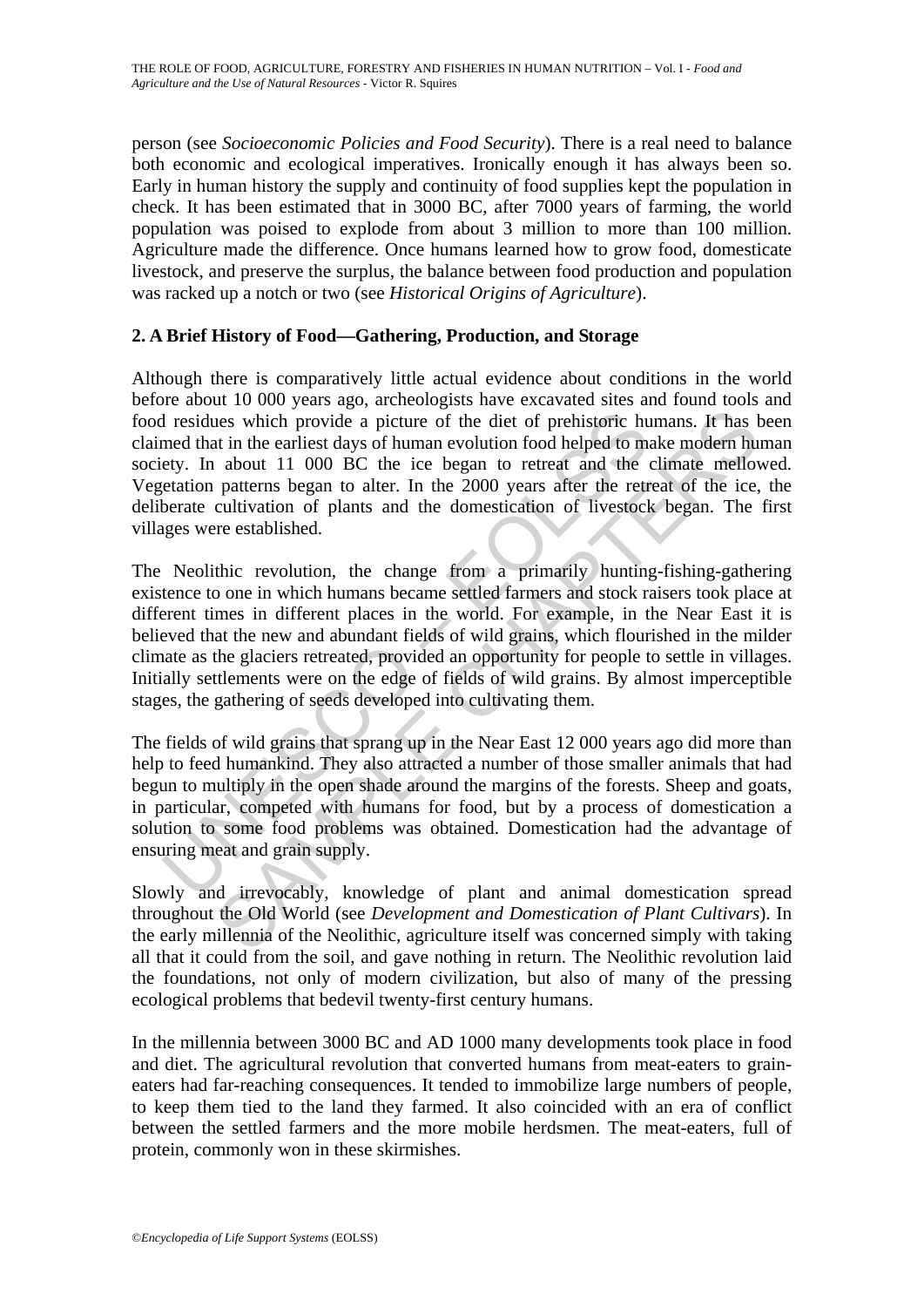person (see *Socioeconomic Policies and Food Security*). There is a real need to balance both economic and ecological imperatives. Ironically enough it has always been so. Early in human history the supply and continuity of food supplies kept the population in check. It has been estimated that in 3000 BC, after 7000 years of farming, the world population was poised to explode from about 3 million to more than 100 million. Agriculture made the difference. Once humans learned how to grow food, domesticate livestock, and preserve the surplus, the balance between food production and population was racked up a notch or two (see *Historical Origins of Agriculture*).

# **2. A Brief History of Food—Gathering, Production, and Storage**

Although there is comparatively little actual evidence about conditions in the world before about 10 000 years ago, archeologists have excavated sites and found tools and food residues which provide a picture of the diet of prehistoric humans. It has been claimed that in the earliest days of human evolution food helped to make modern human society. In about 11 000 BC the ice began to retreat and the climate mellowed. Vegetation patterns began to alter. In the 2000 years after the retreat of the ice, the deliberate cultivation of plants and the domestication of livestock began. The first villages were established.

I residues which provide a picture of the diet of prehistoric humed that in the earliest days of human evolution food helped to mety. In about 11 000 BC the ice began to retreat and the etation patterns began to alter. In The sum of the content of the complete of the set of predistoric humans. It has the sum in the earliest days of human evolution food helped to make modern hu about 11 000 BC the ice began to reture and the climate mellow The Neolithic revolution, the change from a primarily hunting-fishing-gathering existence to one in which humans became settled farmers and stock raisers took place at different times in different places in the world. For example, in the Near East it is believed that the new and abundant fields of wild grains, which flourished in the milder climate as the glaciers retreated, provided an opportunity for people to settle in villages. Initially settlements were on the edge of fields of wild grains. By almost imperceptible stages, the gathering of seeds developed into cultivating them.

The fields of wild grains that sprang up in the Near East 12 000 years ago did more than help to feed humankind. They also attracted a number of those smaller animals that had begun to multiply in the open shade around the margins of the forests. Sheep and goats, in particular, competed with humans for food, but by a process of domestication a solution to some food problems was obtained. Domestication had the advantage of ensuring meat and grain supply.

Slowly and irrevocably, knowledge of plant and animal domestication spread throughout the Old World (see *Development and Domestication of Plant Cultivars*). In the early millennia of the Neolithic, agriculture itself was concerned simply with taking all that it could from the soil, and gave nothing in return. The Neolithic revolution laid the foundations, not only of modern civilization, but also of many of the pressing ecological problems that bedevil twenty-first century humans.

In the millennia between 3000 BC and AD 1000 many developments took place in food and diet. The agricultural revolution that converted humans from meat-eaters to graineaters had far-reaching consequences. It tended to immobilize large numbers of people, to keep them tied to the land they farmed. It also coincided with an era of conflict between the settled farmers and the more mobile herdsmen. The meat-eaters, full of protein, commonly won in these skirmishes.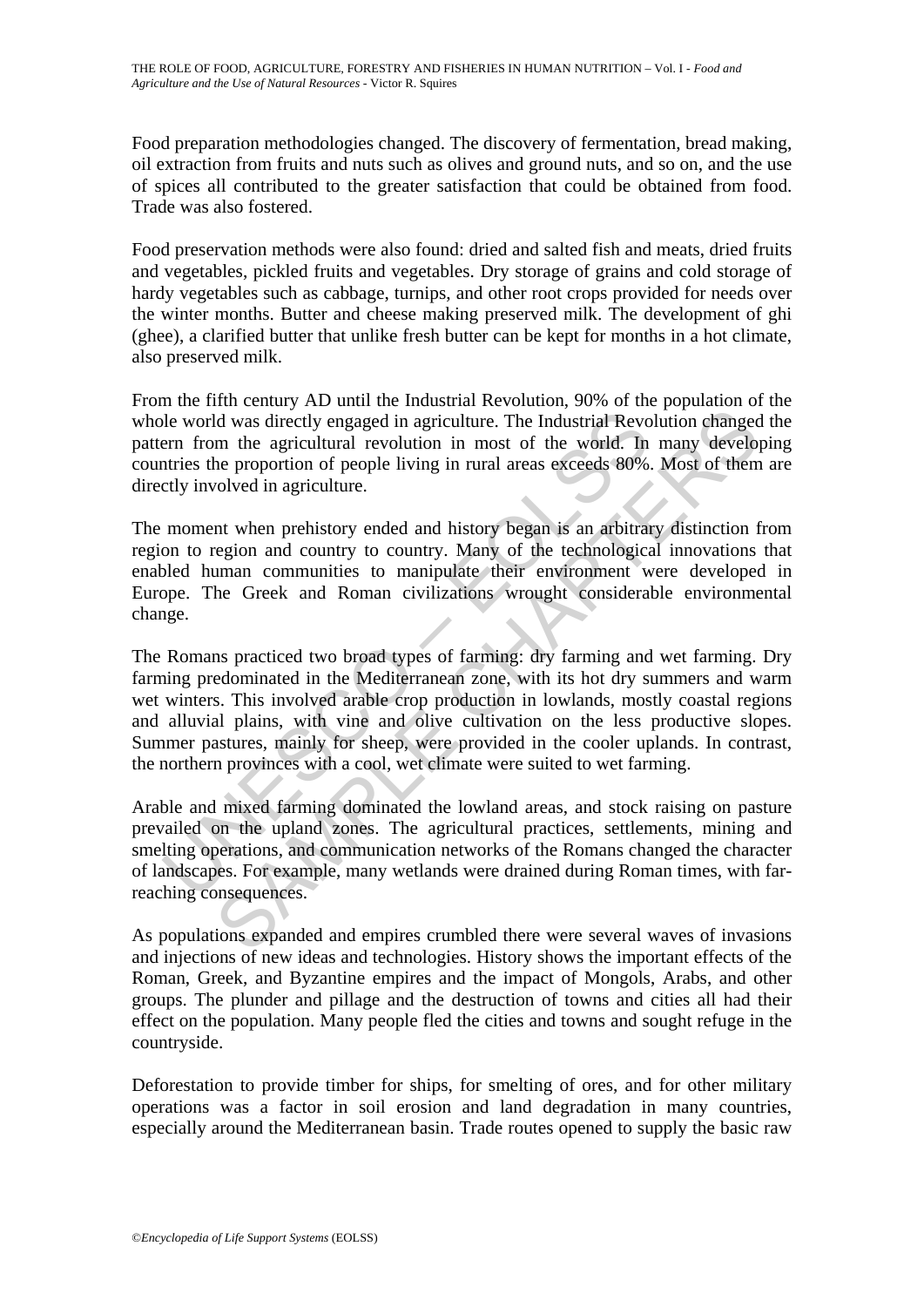Food preparation methodologies changed. The discovery of fermentation, bread making, oil extraction from fruits and nuts such as olives and ground nuts, and so on, and the use of spices all contributed to the greater satisfaction that could be obtained from food. Trade was also fostered.

Food preservation methods were also found: dried and salted fish and meats, dried fruits and vegetables, pickled fruits and vegetables. Dry storage of grains and cold storage of hardy vegetables such as cabbage, turnips, and other root crops provided for needs over the winter months. Butter and cheese making preserved milk. The development of ghi (ghee), a clarified butter that unlike fresh butter can be kept for months in a hot climate, also preserved milk.

From the fifth century AD until the Industrial Revolution, 90% of the population of the whole world was directly engaged in agriculture. The Industrial Revolution changed the pattern from the agricultural revolution in most of the world. In many developing countries the proportion of people living in rural areas exceeds 80%. Most of them are directly involved in agriculture.

The moment when prehistory ended and history began is an arbitrary distinction from region to region and country to country. Many of the technological innovations that enabled human communities to manipulate their environment were developed in Europe. The Greek and Roman civilizations wrought considerable environmental change.

be world was directly engaged in agriculture. The Industrial Revort<br>ern from the agricultural revolution in most of the world. In<br>the steep proportion of people living in rural areas exceeds 80%<br>ctly involved in agricultur In the approaches and many elements and many elements. The Holdwind Revolution changed in agriculture. The Industrial Revolution changed m and country to every control. In many develope the proportion of people living in r The Romans practiced two broad types of farming: dry farming and wet farming. Dry farming predominated in the Mediterranean zone, with its hot dry summers and warm wet winters. This involved arable crop production in lowlands, mostly coastal regions and alluvial plains, with vine and olive cultivation on the less productive slopes. Summer pastures, mainly for sheep, were provided in the cooler uplands. In contrast, the northern provinces with a cool, wet climate were suited to wet farming.

Arable and mixed farming dominated the lowland areas, and stock raising on pasture prevailed on the upland zones. The agricultural practices, settlements, mining and smelting operations, and communication networks of the Romans changed the character of landscapes. For example, many wetlands were drained during Roman times, with farreaching consequences.

As populations expanded and empires crumbled there were several waves of invasions and injections of new ideas and technologies. History shows the important effects of the Roman, Greek, and Byzantine empires and the impact of Mongols, Arabs, and other groups. The plunder and pillage and the destruction of towns and cities all had their effect on the population. Many people fled the cities and towns and sought refuge in the countryside.

Deforestation to provide timber for ships, for smelting of ores, and for other military operations was a factor in soil erosion and land degradation in many countries, especially around the Mediterranean basin. Trade routes opened to supply the basic raw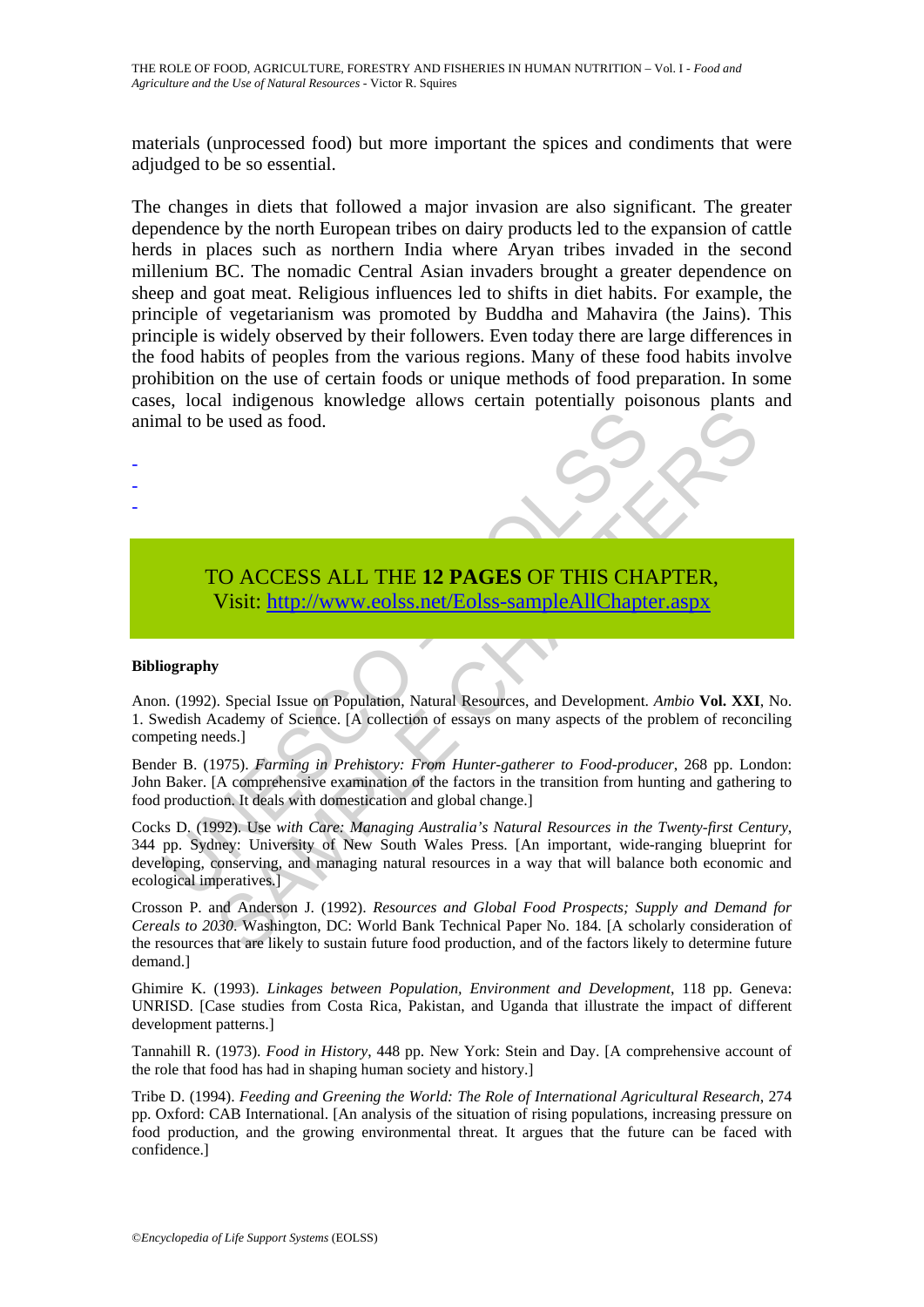materials (unprocessed food) but more important the spices and condiments that were adjudged to be so essential.

The changes in diets that followed a major invasion are also significant. The greater dependence by the north European tribes on dairy products led to the expansion of cattle herds in places such as northern India where Aryan tribes invaded in the second millenium BC. The nomadic Central Asian invaders brought a greater dependence on sheep and goat meat. Religious influences led to shifts in diet habits. For example, the principle of vegetarianism was promoted by Buddha and Mahavira (the Jains). This principle is widely observed by their followers. Even today there are large differences in the food habits of peoples from the various regions. Many of these food habits involve prohibition on the use of certain foods or unique methods of food preparation. In some cases, local indigenous knowledge allows certain potentially poisonous plants and animal to be used as food.



#### **Bibliography**

- - -

Anon. (1992). Special Issue on Population, Natural Resources, and Development. *Ambio* **Vol. XXI**, No. 1. Swedish Academy of Science. [A collection of essays on many aspects of the problem of reconciling competing needs.]

Bender B. (1975). *Farming in Prehistory: From Hunter-gatherer to Food-producer*, 268 pp. London: John Baker. [A comprehensive examination of the factors in the transition from hunting and gathering to food production. It deals with domestication and global change.]

TO ACCESS ALL THE 12 PAGES OF THIS CHA Visit: http://www.eolss.net/Eolss-sampleAllChapte<br>
Visit: http://www.eolss.net/Eolss-sampleAllChapte<br>
iography<br>
iography<br>
iography<br>
iography<br>
iography<br>
iography<br>
of Science. [A collec Concessed as food.<br>
Seconds a final Concess ALL THE 12 PAGES OF THIS C[HAP](https://www.eolss.net/ebooklib/sc_cart.aspx?File=E5-01A-01)TER,<br>
Special Issue on Population, Natural Resources, and Development. Ambio Vol. XXI<br>
Secondary of Science. [A collection of essays on many aspects Cocks D. (1992). Use *with Care: Managing Australia's Natural Resources in the Twenty-first Century*, 344 pp. Sydney: University of New South Wales Press. [An important, wide-ranging blueprint for developing, conserving, and managing natural resources in a way that will balance both economic and ecological imperatives.]

Crosson P. and Anderson J. (1992). *Resources and Global Food Prospects; Supply and Demand for Cereals to 2030*. Washington, DC: World Bank Technical Paper No. 184. [A scholarly consideration of the resources that are likely to sustain future food production, and of the factors likely to determine future demand.]

Ghimire K. (1993). *Linkages between Population, Environment and Development*, 118 pp. Geneva: UNRISD. [Case studies from Costa Rica, Pakistan, and Uganda that illustrate the impact of different development patterns.]

Tannahill R. (1973). *Food in History*, 448 pp. New York: Stein and Day. [A comprehensive account of the role that food has had in shaping human society and history.]

Tribe D. (1994). *Feeding and Greening the World: The Role of International Agricultural Research*, 274 pp. Oxford: CAB International. [An analysis of the situation of rising populations, increasing pressure on food production, and the growing environmental threat. It argues that the future can be faced with confidence.]